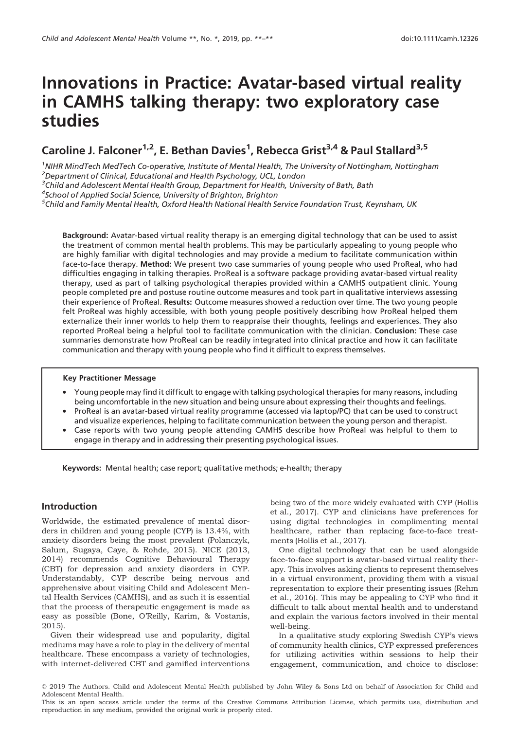# Innovations in Practice: Avatar-based virtual reality in CAMHS talking therapy: two exploratory case studies

## Caroline J. Falconer<sup>1,2</sup>, E. Bethan Davies<sup>1</sup>, Rebecca Grist<sup>3,4</sup> & Paul Stallard<sup>3,5</sup>

<sup>1</sup>NIHR MindTech MedTech Co-operative, Institute of Mental Health, The University of Nottingham, Nottingham  $^2$ Department of Clinical, Educational and Health Psychology, UCL, London

<sup>3</sup>Child and Adolescent Mental Health Group, Department for Health, University of Bath, Bath

4 School of Applied Social Science, University of Brighton, Brighton

<sup>5</sup>Child and Family Mental Health, Oxford Health National Health Service Foundation Trust, Keynsham, UK

Background: Avatar-based virtual reality therapy is an emerging digital technology that can be used to assist the treatment of common mental health problems. This may be particularly appealing to young people who are highly familiar with digital technologies and may provide a medium to facilitate communication within face-to-face therapy. Method: We present two case summaries of young people who used ProReal, who had difficulties engaging in talking therapies. ProReal is a software package providing avatar-based virtual reality therapy, used as part of talking psychological therapies provided within a CAMHS outpatient clinic. Young people completed pre and postuse routine outcome measures and took part in qualitative interviews assessing their experience of ProReal. Results: Outcome measures showed a reduction over time. The two young people felt ProReal was highly accessible, with both young people positively describing how ProReal helped them externalize their inner worlds to help them to reappraise their thoughts, feelings and experiences. They also reported ProReal being a helpful tool to facilitate communication with the clinician. Conclusion: These case summaries demonstrate how ProReal can be readily integrated into clinical practice and how it can facilitate communication and therapy with young people who find it difficult to express themselves.

#### Key Practitioner Message

- Young people may find it difficult to engage with talking psychological therapies for many reasons, including being uncomfortable in the new situation and being unsure about expressing their thoughts and feelings.
- ProReal is an avatar-based virtual reality programme (accessed via laptop/PC) that can be used to construct and visualize experiences, helping to facilitate communication between the young person and therapist.
- Case reports with two young people attending CAMHS describe how ProReal was helpful to them to engage in therapy and in addressing their presenting psychological issues.

Keywords: Mental health; case report; qualitative methods; e-health; therapy

## Introduction

Worldwide, the estimated prevalence of mental disorders in children and young people (CYP) is 13.4%, with anxiety disorders being the most prevalent (Polanczyk, Salum, Sugaya, Caye, & Rohde, 2015). NICE (2013, 2014) recommends Cognitive Behavioural Therapy (CBT) for depression and anxiety disorders in CYP. Understandably, CYP describe being nervous and apprehensive about visiting Child and Adolescent Mental Health Services (CAMHS), and as such it is essential that the process of therapeutic engagement is made as easy as possible (Bone, O'Reilly, Karim, & Vostanis, 2015).

Given their widespread use and popularity, digital mediums may have a role to play in the delivery of mental healthcare. These encompass a variety of technologies, with internet-delivered CBT and gamified interventions being two of the more widely evaluated with CYP (Hollis et al., 2017). CYP and clinicians have preferences for using digital technologies in complimenting mental healthcare, rather than replacing face-to-face treatments (Hollis et al., 2017).

One digital technology that can be used alongside face-to-face support is avatar-based virtual reality therapy. This involves asking clients to represent themselves in a virtual environment, providing them with a visual representation to explore their presenting issues (Rehm et al., 2016). This may be appealing to CYP who find it difficult to talk about mental health and to understand and explain the various factors involved in their mental well-being.

In a qualitative study exploring Swedish CYP's views of community health clinics, CYP expressed preferences for utilizing activities within sessions to help their engagement, communication, and choice to disclose:

<sup>©</sup> 2019 The Authors. Child and Adolescent Mental Health published by John Wiley & Sons Ltd on behalf of Association for Child and Adolescent Mental Health.

This is an open access article under the terms of the [Creative Commons Attribution](http://creativecommons.org/licenses/by/4.0/) License, which permits use, distribution and reproduction in any medium, provided the original work is properly cited.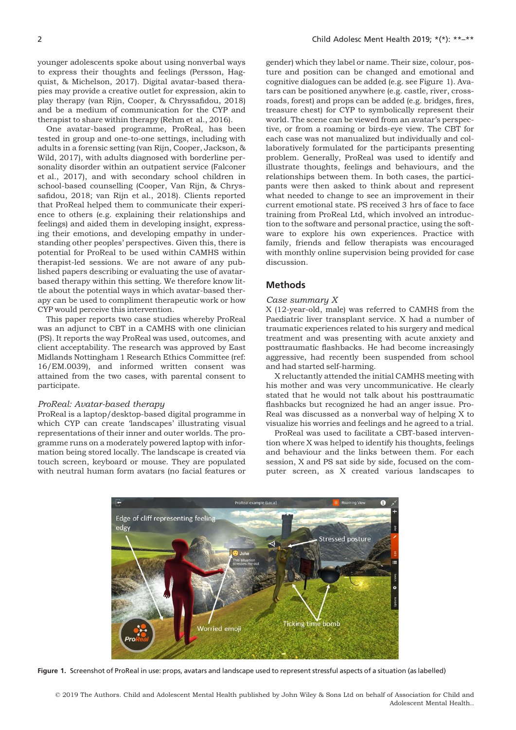younger adolescents spoke about using nonverbal ways to express their thoughts and feelings (Persson, Hagquist, & Michelson, 2017). Digital avatar-based therapies may provide a creative outlet for expression, akin to play therapy (van Rijn, Cooper, & Chryssafidou, 2018) and be a medium of communication for the CYP and therapist to share within therapy (Rehm et al., 2016).

One avatar-based programme, ProReal, has been tested in group and one-to-one settings, including with adults in a forensic setting (van Rijn, Cooper, Jackson, & Wild, 2017), with adults diagnosed with borderline personality disorder within an outpatient service (Falconer et al., 2017), and with secondary school children in school-based counselling (Cooper, Van Rijn, & Chryssafidou, 2018; van Rijn et al., 2018). Clients reported that ProReal helped them to communicate their experience to others (e.g. explaining their relationships and feelings) and aided them in developing insight, expressing their emotions, and developing empathy in understanding other peoples' perspectives. Given this, there is potential for ProReal to be used within CAMHS within therapist-led sessions. We are not aware of any published papers describing or evaluating the use of avatarbased therapy within this setting. We therefore know little about the potential ways in which avatar-based therapy can be used to compliment therapeutic work or how CYP would perceive this intervention.

This paper reports two case studies whereby ProReal was an adjunct to CBT in a CAMHS with one clinician (PS). It reports the way ProReal was used, outcomes, and client acceptability. The research was approved by East Midlands Nottingham 1 Research Ethics Committee (ref: 16/EM.0039), and informed written consent was attained from the two cases, with parental consent to participate.

#### ProReal: Avatar-based therapy

ProReal is a laptop/desktop-based digital programme in which CYP can create 'landscapes' illustrating visual representations of their inner and outer worlds. The programme runs on a moderately powered laptop with information being stored locally. The landscape is created via touch screen, keyboard or mouse. They are populated with neutral human form avatars (no facial features or

gender) which they label or name. Their size, colour, posture and position can be changed and emotional and cognitive dialogues can be added (e.g. see Figure 1). Avatars can be positioned anywhere (e.g. castle, river, crossroads, forest) and props can be added (e.g. bridges, fires, treasure chest) for CYP to symbolically represent their world. The scene can be viewed from an avatar's perspective, or from a roaming or birds-eye view. The CBT for each case was not manualized but individually and collaboratively formulated for the participants presenting problem. Generally, ProReal was used to identify and illustrate thoughts, feelings and behaviours, and the relationships between them. In both cases, the participants were then asked to think about and represent what needed to change to see an improvement in their current emotional state. PS received 3 hrs of face to face training from ProReal Ltd, which involved an introduction to the software and personal practice, using the software to explore his own experiences. Practice with family, friends and fellow therapists was encouraged with monthly online supervision being provided for case discussion.

#### **Methods**

#### Case summary X

X (12-year-old, male) was referred to CAMHS from the Paediatric liver transplant service. X had a number of traumatic experiences related to his surgery and medical treatment and was presenting with acute anxiety and posttraumatic flashbacks. He had become increasingly aggressive, had recently been suspended from school and had started self-harming.

X reluctantly attended the initial CAMHS meeting with his mother and was very uncommunicative. He clearly stated that he would not talk about his posttraumatic flashbacks but recognized he had an anger issue. Pro-Real was discussed as a nonverbal way of helping X to visualize his worries and feelings and he agreed to a trial.

ProReal was used to facilitate a CBT-based intervention where X was helped to identify his thoughts, feelings and behaviour and the links between them. For each session, X and PS sat side by side, focused on the computer screen, as X created various landscapes to



Figure 1. Screenshot of ProReal in use: props, avatars and landscape used to represent stressful aspects of a situation (as labelled)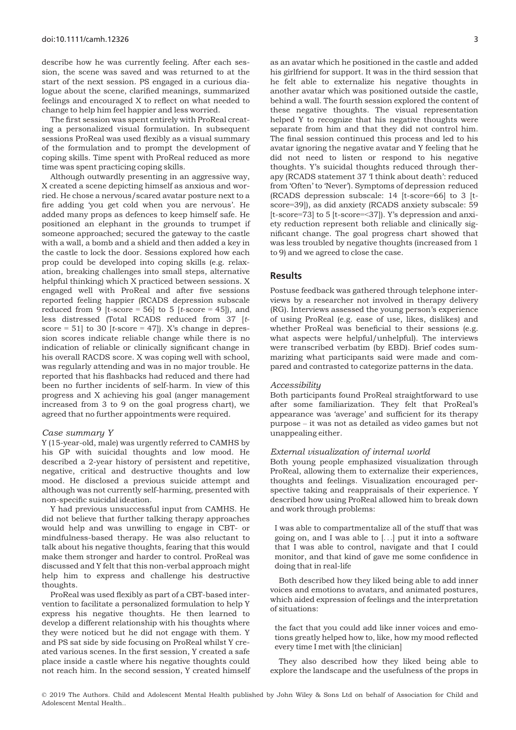describe how he was currently feeling. After each session, the scene was saved and was returned to at the start of the next session. PS engaged in a curious dialogue about the scene, clarified meanings, summarized feelings and encouraged X to reflect on what needed to change to help him feel happier and less worried.

The first session was spent entirely with ProReal creating a personalized visual formulation. In subsequent sessions ProReal was used flexibly as a visual summary of the formulation and to prompt the development of coping skills. Time spent with ProReal reduced as more time was spent practicing coping skills.

Although outwardly presenting in an aggressive way, X created a scene depicting himself as anxious and worried. He chose a nervous/scared avatar posture next to a fire adding 'you get cold when you are nervous'. He added many props as defences to keep himself safe. He positioned an elephant in the grounds to trumpet if someone approached; secured the gateway to the castle with a wall, a bomb and a shield and then added a key in the castle to lock the door. Sessions explored how each prop could be developed into coping skills (e.g. relaxation, breaking challenges into small steps, alternative helpful thinking) which X practiced between sessions. X engaged well with ProReal and after five sessions reported feeling happier (RCADS depression subscale reduced from 9  $[t-score = 56]$  to 5  $[t-score = 45]$ , and less distressed (Total RCADS reduced from 37 [tscore = 51] to 30 [t-score = 47]). X's change in depression scores indicate reliable change while there is no indication of reliable or clinically significant change in his overall RACDS score. X was coping well with school, was regularly attending and was in no major trouble. He reported that his flashbacks had reduced and there had been no further incidents of self-harm. In view of this progress and X achieving his goal (anger management increased from 3 to 9 on the goal progress chart), we agreed that no further appointments were required.

#### Case summary Y

Y (15-year-old, male) was urgently referred to CAMHS by his GP with suicidal thoughts and low mood. He described a 2-year history of persistent and repetitive, negative, critical and destructive thoughts and low mood. He disclosed a previous suicide attempt and although was not currently self-harming, presented with non-specific suicidal ideation.

Y had previous unsuccessful input from CAMHS. He did not believe that further talking therapy approaches would help and was unwilling to engage in CBT- or mindfulness-based therapy. He was also reluctant to talk about his negative thoughts, fearing that this would make them stronger and harder to control. ProReal was discussed and Y felt that this non-verbal approach might help him to express and challenge his destructive thoughts.

ProReal was used flexibly as part of a CBT-based intervention to facilitate a personalized formulation to help Y express his negative thoughts. He then learned to develop a different relationship with his thoughts where they were noticed but he did not engage with them. Y and PS sat side by side focusing on ProReal whilst Y created various scenes. In the first session, Y created a safe place inside a castle where his negative thoughts could not reach him. In the second session, Y created himself as an avatar which he positioned in the castle and added his girlfriend for support. It was in the third session that he felt able to externalize his negative thoughts in another avatar which was positioned outside the castle, behind a wall. The fourth session explored the content of these negative thoughts. The visual representation helped Y to recognize that his negative thoughts were separate from him and that they did not control him. The final session continued this process and led to his avatar ignoring the negative avatar and Y feeling that he did not need to listen or respond to his negative thoughts. Y's suicidal thoughts reduced through therapy (RCADS statement 37 'I think about death': reduced from 'Often' to 'Never'). Symptoms of depression reduced (RCADS depression subscale: 14 [t-score=66] to 3 [tscore=39]), as did anxiety (RCADS anxiety subscale: 59 [t-score=73] to 5 [t-score=<37]). Y's depression and anxiety reduction represent both reliable and clinically significant change. The goal progress chart showed that was less troubled by negative thoughts (increased from 1 to 9) and we agreed to close the case.

#### Results

Postuse feedback was gathered through telephone interviews by a researcher not involved in therapy delivery (RG). Interviews assessed the young person's experience of using ProReal (e.g. ease of use, likes, dislikes) and whether ProReal was beneficial to their sessions (e.g. what aspects were helpful/unhelpful). The interviews were transcribed verbatim (by EBD). Brief codes summarizing what participants said were made and compared and contrasted to categorize patterns in the data.

#### Accessibility

Both participants found ProReal straightforward to use after some familiarization. They felt that ProReal's appearance was 'average' and sufficient for its therapy purpose – it was not as detailed as video games but not unappealing either.

#### External visualization of internal world

Both young people emphasized visualization through ProReal, allowing them to externalize their experiences, thoughts and feelings. Visualization encouraged perspective taking and reappraisals of their experience. Y described how using ProReal allowed him to break down and work through problems:

I was able to compartmentalize all of the stuff that was going on, and I was able to [...] put it into a software that I was able to control, navigate and that I could monitor, and that kind of gave me some confidence in doing that in real-life

Both described how they liked being able to add inner voices and emotions to avatars, and animated postures, which aided expression of feelings and the interpretation of situations:

the fact that you could add like inner voices and emotions greatly helped how to, like, how my mood reflected every time I met with [the clinician]

They also described how they liked being able to explore the landscape and the usefulness of the props in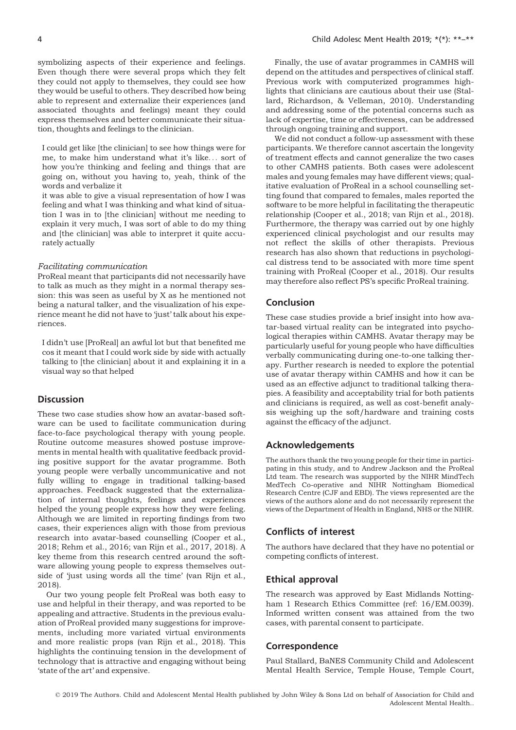symbolizing aspects of their experience and feelings. Even though there were several props which they felt they could not apply to themselves, they could see how they would be useful to others. They described how being able to represent and externalize their experiences (and associated thoughts and feelings) meant they could express themselves and better communicate their situation, thoughts and feelings to the clinician.

I could get like [the clinician] to see how things were for me, to make him understand what it's like... sort of how you're thinking and feeling and things that are going on, without you having to, yeah, think of the words and verbalize it

it was able to give a visual representation of how I was feeling and what I was thinking and what kind of situation I was in to [the clinician] without me needing to explain it very much, I was sort of able to do my thing and [the clinician] was able to interpret it quite accurately actually

#### Facilitating communication

ProReal meant that participants did not necessarily have to talk as much as they might in a normal therapy session: this was seen as useful by X as he mentioned not being a natural talker, and the visualization of his experience meant he did not have to 'just' talk about his experiences.

I didn't use [ProReal] an awful lot but that benefited me cos it meant that I could work side by side with actually talking to [the clinician] about it and explaining it in a visual way so that helped

## **Discussion**

These two case studies show how an avatar-based software can be used to facilitate communication during face-to-face psychological therapy with young people. Routine outcome measures showed postuse improvements in mental health with qualitative feedback providing positive support for the avatar programme. Both young people were verbally uncommunicative and not fully willing to engage in traditional talking-based approaches. Feedback suggested that the externalization of internal thoughts, feelings and experiences helped the young people express how they were feeling. Although we are limited in reporting findings from two cases, their experiences align with those from previous research into avatar-based counselling (Cooper et al., 2018; Rehm et al., 2016; van Rijn et al., 2017, 2018). A key theme from this research centred around the software allowing young people to express themselves outside of 'just using words all the time' (van Rijn et al., 2018).

Our two young people felt ProReal was both easy to use and helpful in their therapy, and was reported to be appealing and attractive. Students in the previous evaluation of ProReal provided many suggestions for improvements, including more variated virtual environments and more realistic props (van Rijn et al., 2018). This highlights the continuing tension in the development of technology that is attractive and engaging without being 'state of the art' and expensive.

Finally, the use of avatar programmes in CAMHS will depend on the attitudes and perspectives of clinical staff. Previous work with computerized programmes highlights that clinicians are cautious about their use (Stallard, Richardson, & Velleman, 2010). Understanding and addressing some of the potential concerns such as lack of expertise, time or effectiveness, can be addressed through ongoing training and support.

We did not conduct a follow-up assessment with these participants. We therefore cannot ascertain the longevity of treatment effects and cannot generalize the two cases to other CAMHS patients. Both cases were adolescent males and young females may have different views; qualitative evaluation of ProReal in a school counselling setting found that compared to females, males reported the software to be more helpful in facilitating the therapeutic relationship (Cooper et al., 2018; van Rijn et al., 2018). Furthermore, the therapy was carried out by one highly experienced clinical psychologist and our results may not reflect the skills of other therapists. Previous research has also shown that reductions in psychological distress tend to be associated with more time spent training with ProReal (Cooper et al., 2018). Our results may therefore also reflect PS's specific ProReal training.

## Conclusion

These case studies provide a brief insight into how avatar-based virtual reality can be integrated into psychological therapies within CAMHS. Avatar therapy may be particularly useful for young people who have difficulties verbally communicating during one-to-one talking therapy. Further research is needed to explore the potential use of avatar therapy within CAMHS and how it can be used as an effective adjunct to traditional talking therapies. A feasibility and acceptability trial for both patients and clinicians is required, as well as cost-benefit analysis weighing up the soft/hardware and training costs against the efficacy of the adjunct.

### Acknowledgements

The authors thank the two young people for their time in participating in this study, and to Andrew Jackson and the ProReal Ltd team. The research was supported by the NIHR MindTech MedTech Co-operative and NIHR Nottingham Biomedical Research Centre (CJF and EBD). The views represented are the views of the authors alone and do not necessarily represent the views of the Department of Health in England, NHS or the NIHR.

## Conflicts of interest

The authors have declared that they have no potential or competing conflicts of interest.

## Ethical approval

The research was approved by East Midlands Nottingham 1 Research Ethics Committee (ref: 16/EM.0039). Informed written consent was attained from the two cases, with parental consent to participate.

#### Correspondence

Paul Stallard, BaNES Community Child and Adolescent Mental Health Service, Temple House, Temple Court,